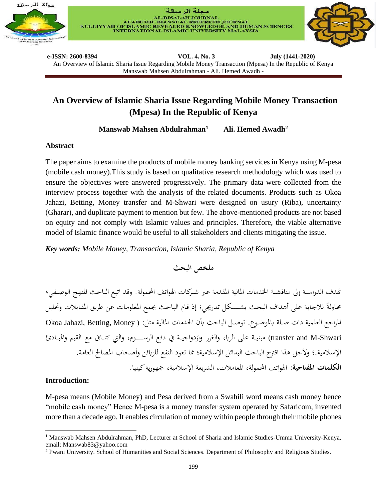





**e-ISSN: 2600-8394 VOL. 4. No. 3 July (1441-2020)**  An Overview of Islamic Sharia Issue Regarding Mobile Money Transaction (Mpesa) In the Republic of Kenya Manswab Mahsen Abdulrahman - Ali. Hemed Awadh -

# **An Overview of Islamic Sharia Issue Regarding Mobile Money Transaction (Mpesa) In the Republic of Kenya**

**Manswab Mahsen Abdulrahman<sup>1</sup> Ali. Hemed Awadh<sup>2</sup>**

### **Abstract**

The paper aims to examine the products of mobile money banking services in Kenya using M-pesa (mobile cash money).This study is based on qualitative research methodology which was used to ensure the objectives were answered progressively. The primary data were collected from the interview process together with the analysis of the related documents. Products such as Okoa Jahazi, Betting, Money transfer and M-Shwari were designed on usury (Riba), uncertainty (Gharar), and duplicate payment to mention but few. The above-mentioned products are not based on equity and not comply with Islamic values and principles. Therefore, the viable alternative model of Islamic finance would be useful to all stakeholders and clients mitigating the issue.

*Key words: Mobile Money, Transaction, Islamic Sharia, Republic of Kenya*

**ملخص البحث** 

تهدف الدراسـة إلى مناقشـة الخدمات المالية المقدمة عبر شـركات الهواتف المحمولة. وقد اتبع الباحث المنهج الوصـفي؛ محاولةً للاجابة على أهداف البحث بشـــكل تدريجي؛ إذ قام الباحث بجمع المعلومات عن طريق المقابلات وتحليل ل المراجع العلمية ذات صلة بالموضوع. توصل الباحث بأن الخدمات المالية مثل: ( Okoa Jahazi, Betting, Money transfer and M-Shwari) مبنيــة على الربا، والغرر وازدواجيــة في دفع الرســــوم، والتي تتنــافي مع القيم والمبـادئ الإسلامية.؛ ولأجل هذا اقترح الباحث البدائل الإسلامية؛ مما تعود النفع للزبائن وأصحاب المصالح العامة. <mark>الكلمات المفتاحية:</mark> الهواتف المحمولة، المعاملات، الشريعة الإسلامية، جمهورية كينيا.

### **Introduction:**

M-pesa means (Mobile Money) and Pesa derived from a Swahili word means cash money hence "mobile cash money" Hence M-pesa is a money transfer system operated by Safaricom, invented more than a decade ago. It enables circulation of money within people through their mobile phones

<sup>1</sup> Manswab Mahsen Abdulrahman, PhD, Lecturer at School of Sharia and Islamic Studies-Umma University-Kenya, email: Manswab83@yahoo.com

<sup>2</sup> Pwani University. School of Humanities and Social Sciences. Department of Philosophy and Religious Studies.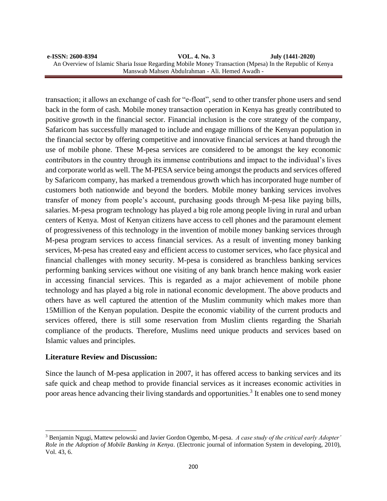#### **e-ISSN: 2600-8394 VOL. 4. No. 3 July (1441-2020)**  An Overview of Islamic Sharia Issue Regarding Mobile Money Transaction (Mpesa) In the Republic of Kenya Manswab Mahsen Abdulrahman - Ali. Hemed Awadh -

transaction; it allows an exchange of cash for "e-float", send to other transfer phone users and send back in the form of cash. Mobile money transaction operation in Kenya has greatly contributed to positive growth in the financial sector. Financial inclusion is the core strategy of the company, Safaricom has successfully managed to include and engage millions of the Kenyan population in the financial sector by offering competitive and innovative financial services at hand through the use of mobile phone. These M-pesa services are considered to be amongst the key economic contributors in the country through its immense contributions and impact to the individual's lives and corporate world as well. The M-PESA service being amongst the products and services offered by Safaricom company, has marked a tremendous growth which has incorporated huge number of customers both nationwide and beyond the borders. Mobile money banking services involves transfer of money from people's account, purchasing goods through M-pesa like paying bills, salaries. M-pesa program technology has played a big role among people living in rural and urban centers of Kenya. Most of Kenyan citizens have access to cell phones and the paramount element of progressiveness of this technology in the invention of mobile money banking services through M-pesa program services to access financial services. As a result of inventing money banking services, M-pesa has created easy and efficient access to customer services, who face physical and financial challenges with money security. M-pesa is considered as branchless banking services performing banking services without one visiting of any bank branch hence making work easier in accessing financial services. This is regarded as a major achievement of mobile phone technology and has played a big role in national economic development. The above products and others have as well captured the attention of the Muslim community which makes more than 15Million of the Kenyan population. Despite the economic viability of the current products and services offered, there is still some reservation from Muslim clients regarding the Shariah compliance of the products. Therefore, Muslims need unique products and services based on Islamic values and principles.

### **Literature Review and Discussion:**

Since the launch of M-pesa application in 2007, it has offered access to banking services and its safe quick and cheap method to provide financial services as it increases economic activities in poor areas hence advancing their living standards and opportunities.<sup>3</sup> It enables one to send money

<sup>3</sup> Benjamin Ngugi, Mattew pelowski and Javier Gordon Ogembo, M-pesa. *A case study of the critical early Adopter' Role in the Adoption of Mobile Banking in Kenya*. (Electronic journal of information System in developing, 2010), Vol. 43, 6.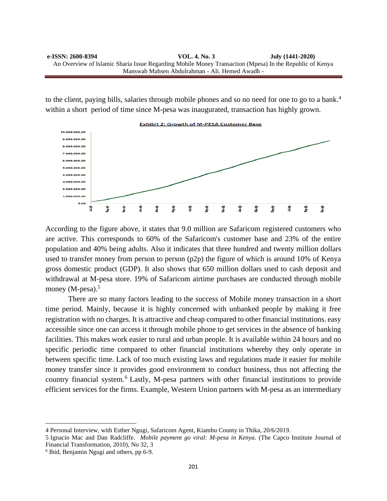to the client, paying bills, salaries through mobile phones and so no need for one to go to a bank.<sup>4</sup> within a short period of time since M-pesa was inaugurated, transaction has highly grown.



According to the figure above, it states that 9.0 million are Safaricom registered customers who are active. This corresponds to 60% of the Safaricom's customer base and 23% of the entire population and 40% being adults. Also it indicates that three hundred and twenty million dollars used to transfer money from person to person (p2p) the figure of which is around 10% of Kenya gross domestic product (GDP). It also shows that 650 million dollars used to cash deposit and withdrawal at M-pesa store. 19% of Safaricom airtime purchases are conducted through mobile money (M-pesa).<sup>5</sup>

There are so many factors leading to the success of Mobile money transaction in a short time period. Mainly, because it is highly concerned with unbanked people by making it free registration with no charges. It is attractive and cheap compared to other financial institutions. easy accessible since one can access it through mobile phone to get services in the absence of banking facilities. This makes work easier to rural and urban people. It is available within 24 hours and no specific periodic time compared to other financial institutions whereby they only operate in between specific time. Lack of too much existing laws and regulations made it easier for mobile money transfer since it provides good environment to conduct business, thus not affecting the country financial system.<sup>6</sup> Lastly, M-pesa partners with other financial institutions to provide efficient services for the firms. Example, Western Union partners with M-pesa as an intermediary

<sup>4</sup> Personal Interview, with Esther Ngugi, Safaricom Agent, Kiambu County in Thika, 20/6/2019.

<sup>5</sup> Ignacio Mac and Dan Radcliffe. *Mobile payment go viral: M-pesa in Kenya*. (The Capco Institute Journal of Financial Transformation, 2010), No 32, 3

<sup>6</sup> Ibid, Benjamin Ngugi and others, pp 6-9.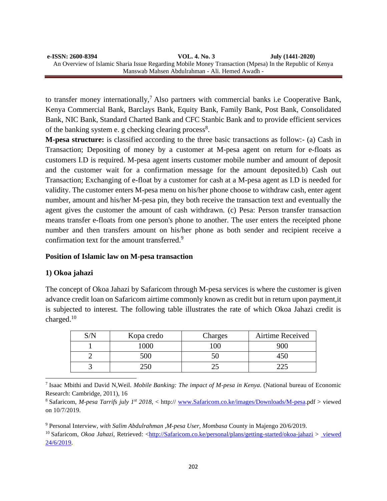to transfer money internationally,<sup>7</sup> Also partners with commercial banks i.e Cooperative Bank, Kenya Commercial Bank, Barclays Bank, Equity Bank, Family Bank, Post Bank, Consolidated Bank, NIC Bank, Standard Charted Bank and CFC Stanbic Bank and to provide efficient services of the banking system e. g checking clearing process<sup>8</sup>.

**M-pesa structure:** is classified according to the three basic transactions as follow:- (a) Cash in Transaction; Depositing of money by a customer at M-pesa agent on return for e-floats as customers I.D is required. M-pesa agent inserts customer mobile number and amount of deposit and the customer wait for a confirmation message for the amount deposited.b) Cash out Transaction; Exchanging of e-float by a customer for cash at a M-pesa agent as I.D is needed for validity. The customer enters M-pesa menu on his/her phone choose to withdraw cash, enter agent number, amount and his/her M-pesa pin, they both receive the transaction text and eventually the agent gives the customer the amount of cash withdrawn. (c) Pesa: Person transfer transaction means transfer e-floats from one person's phone to another. The user enters the receipted phone number and then transfers amount on his/her phone as both sender and recipient receive a confirmation text for the amount transferred.<sup>9</sup>

# **Position of Islamic law on M-pesa transaction**

# **1) Okoa jahazi**

The concept of Okoa Jahazi by Safaricom through M-pesa services is where the customer is given advance credit loan on Safaricom airtime commonly known as credit but in return upon payment,it is subjected to interest. The following table illustrates the rate of which Okoa Jahazi credit is charged.<sup>10</sup>

| C/N | Kopa credo | Charges | Airtime Received |
|-----|------------|---------|------------------|
|     | 000'       | 00      | 900              |
|     | 500        |         |                  |
|     | าะเ        |         |                  |

7 Isaac Mbithi and David N,Weil. *Mobile Banking: The impact of M-pesa in Kenya*. (National bureau of Economic Research: Cambridge, 2011), 16

<sup>8</sup> Safaricom, *M-pesa Tarrifs july 1st 2018*, < http:// [www.Safaricom.co.ke/images/Downloads/M-pesa.](http://www.safaricom.co.ke/images/Downloads/Mpesa)pdf > viewed on 10/7/2019.

<sup>9</sup> Personal Interview, *with Salim Abdulrahman ,M-pesa User, Mombasa* County in Majengo 20/6/2019.

<sup>10</sup> Safaricom, *Okoa Jahazi*, Retrieved: [<http://Safaricom.co.ke/personal/plans/getting-started/okoa-jahazi](http://safaricom.co.ke/personal/plans/getting-started/okoa-jahazi%20viewed%2024/6/2019) > viewed [24/6/2019.](http://safaricom.co.ke/personal/plans/getting-started/okoa-jahazi%20viewed%2024/6/2019)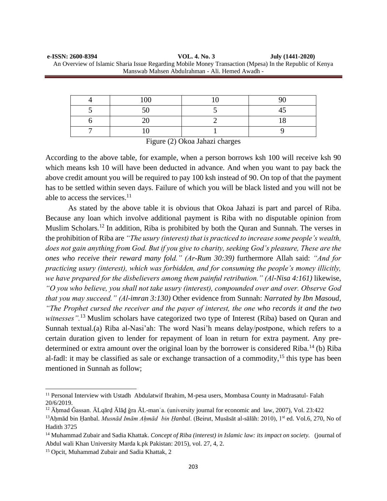| e-ISSN: 2600-8394 | VOL. 4. No. 3                                                                                           | July (1441-2020) |
|-------------------|---------------------------------------------------------------------------------------------------------|------------------|
|                   | An Overview of Islamic Sharia Issue Regarding Mobile Money Transaction (Mpesa) In the Republic of Kenya |                  |
|                   | Manswab Mahsen Abdulrahman - Ali. Hemed Awadh -                                                         |                  |

| 100 | ΩΩ  |
|-----|-----|
|     | . . |
|     |     |
|     |     |

Figure (2) Okoa Jahazi charges

According to the above table, for example, when a person borrows ksh 100 will receive ksh 90 which means ksh 10 will have been deducted in advance. And when you want to pay back the above credit amount you will be required to pay 100 ksh instead of 90. On top of that the payment has to be settled within seven days. Failure of which you will be black listed and you will not be able to access the services. $^{11}$ 

As stated by the above table it is obvious that Okoa Jahazi is part and parcel of Riba. Because any loan which involve additional payment is Riba with no disputable opinion from Muslim Scholars.<sup>12</sup> In addition, Riba is prohibited by both the Quran and Sunnah. The verses in the prohibition of Riba are *"The usury (interest) that is practiced to increase some people's wealth, does not gain anything from God. But if you give to charity, seeking God's pleasure, These are the ones who receive their reward many fold." (Ar-Rum 30:39)* furthermore Allah said: *"And for practicing usury (interest), which was forbidden, and for consuming the people's money illicitly, we have prepared for the disbelievers among them painful retribution." (Al-Nisa 4:161)* likewise, *"O you who believe, you shall not take usury (interest), compounded over and over. Observe God that you may succeed." (Al-imran 3:130)* Other evidence from Sunnah: *Narrated by Ibn Masoud, "The Prophet cursed the receiver and the payer of interest, the one who records it and the two witnesses".*<sup>13</sup> Muslim scholars have categorized two type of Interest (Riba) based on Quran and Sunnah textual.(a) Riba al-Nasi'ah: The word Nasi'h means delay/postpone, which refers to a certain duration given to lender for repayment of loan in return for extra payment. Any predetermined or extra amount over the original loan by the borrower is considered Riba.<sup>14</sup> (b) Riba al-fadl: it may be classified as sale or exchange transaction of a commodity,  $15$  this type has been mentioned in Sunnah as follow;

<sup>&</sup>lt;sup>11</sup> Personal Interview with Ustadh Abdulatwif Ibrahim, M-pesa users, Mombasa County in Madrasatul- Falah 20/6/2019.

<sup>&</sup>lt;sup>12</sup> Āhmad Ğassan. ĀLqārd Ālād ǧra ĀL-manʿa. (university journal for economic and law, 2007), Vol. 23:422 <sup>13</sup>Aḥmād bin Ḥanbal. *Musnād Imām Aḥmād bin Ḥanbal*. (Beirut, Musāsāt al-sālāh: 2010), 1st ed. Vol.6, 270, No of

Hadith 3725

<sup>&</sup>lt;sup>14</sup> Muhammad Zubair and Sadia Khattak. *Concept of Riba (interest) in Islamic law: its impact on society.* (journal of Abdul wali Khan University Marda k.pk Pakistan: 2015), vol. 27, 4, 2.

<sup>15</sup> Opcit, Muhammad Zubair and Sadia Khattak, 2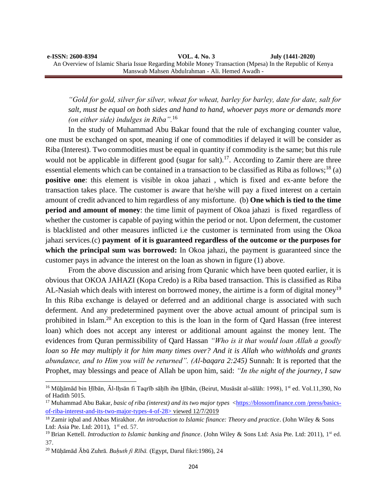*"Gold for gold, silver for silver, wheat for wheat, barley for barley, date for date, salt for salt, must be equal on both sides and hand to hand, whoever pays more or demands more (on either side) indulges in Riba".*<sup>16</sup>

In the study of Muhammad Abu Bakar found that the rule of exchanging counter value, one must be exchanged on spot, meaning if one of commodities if delayed it will be consider as Riba (Interest). Two commodities must be equal in quantity if commodity is the same; but this rule would not be applicable in different good (sugar for salt).<sup>17</sup>. According to Zamir there are three essential elements which can be contained in a transaction to be classified as Riba as follows;<sup>18</sup> (a) **positive one**: this element is visible in okoa jahazi , which is fixed and ex-ante before the transaction takes place. The customer is aware that he/she will pay a fixed interest on a certain amount of credit advanced to him regardless of any misfortune. (b) **One which is tied to the time period and amount of money**: the time limit of payment of Okoa jahazi is fixed regardless of whether the customer is capable of paying within the period or not. Upon deferment, the customer is blacklisted and other measures inflicted i.e the customer is terminated from using the Okoa jahazi services.(c) **payment of it is guaranteed regardless of the outcome or the purposes for which the principal sum was borrowed:** In Okoa jahazi, the payment is guaranteed since the customer pays in advance the interest on the loan as shown in figure (1) above.

From the above discussion and arising from Quranic which have been quoted earlier, it is obvious that OKOA JAHAZI (Kopa Credo) is a Riba based transaction. This is classified as Riba AL-Nasiah which deals with interest on borrowed money, the airtime is a form of digital money<sup>19</sup> In this Riba exchange is delayed or deferred and an additional charge is associated with such deferment. And any predetermined payment over the above actual amount of principal sum is prohibited in Islam.<sup>20</sup> An exception to this is the loan in the form of Qard Hassan (free interest loan) which does not accept any interest or additional amount against the money lent. The evidences from Quran permissibility of Qard Hassan *"Who is it that would loan Allah a goodly loan so He may multiply it for him many times over? And it is Allah who withholds and grants abundance, and to Him you will be returned". (Al-baqara 2:245)* Sunnah: It is reported that the Prophet, may blessings and peace of Allah be upon him, said: *"In the night of the journey, I saw* 

<sup>&</sup>lt;sup>16</sup> Mūhāmād bin Hībān, Āl-Ihsān fi Taqrīb sāhīh ibn Hībān, (Beirut, Musāsāt al-sālāh: 1998), 1<sup>st</sup> ed. Vol.11,390, No of Hadith 5015.

<sup>&</sup>lt;sup>17</sup> Muhammad Abu Bakar, *basic of riba (interest) and its two major types* <https://blossomfinance.com/press/basicsof-riba-interest-and-its-two-major-types-4-of-28> viewed 12/7/2019

<sup>18</sup> Zamir iqbal and Abbas Mirakhor. *An introduction to Islamic finance: Theory and practice*. (John Wiley & Sons Ltd: Asia Pte. Ltd: 2011), 1<sup>st</sup> ed. 57.

<sup>&</sup>lt;sup>19</sup> Brian Kettell. *Introduction to Islamic banking and finance*. (John Wiley & Sons Ltd: Asia Pte. Ltd: 2011), 1<sup>st</sup> ed. 37.

<sup>20</sup> Mūḥāmād Ābū Zuhrā. *Buḥuth fi Rībā.* (Egypt, Darul fikri:1986), 24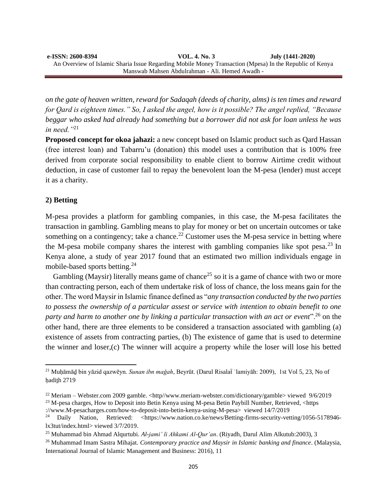*on the gate of heaven written, reward for Sadaqah (deeds of charity, alms) is ten times and reward for Qard is eighteen times." So, I asked the angel, how is it possible? The angel replied, "Because beggar who asked had already had something but a borrower did not ask for loan unless he was in need."*<sup>21</sup>

**Proposed concept for okoa jahazi:** a new concept based on Islamic product such as Qard Hassan (free interest loan) and Tabarru'u (donation) this model uses a contribution that is 100% free derived from corporate social responsibility to enable client to borrow Airtime credit without deduction, in case of customer fail to repay the benevolent loan the M-pesa (lender) must accept it as a charity.

# **2) Betting**

M-pesa provides a platform for gambling companies, in this case, the M-pesa facilitates the transaction in gambling. Gambling means to play for money or bet on uncertain outcomes or take something on a contingency; take a chance.<sup>22</sup> Customer uses the M-pesa service in betting where the M-pesa mobile company shares the interest with gambling companies like spot pesa.<sup>23</sup> In Kenya alone, a study of year 2017 found that an estimated two million individuals engage in mobile-based sports betting.<sup>24</sup>

Gambling (Maysir) literally means game of chance<sup>25</sup> so it is a game of chance with two or more than contracting person, each of them undertake risk of loss of chance, the loss means gain for the other. The word Maysir in Islamic finance defined as "*any transaction conducted by the two parties to possess the ownership of a particular assest or service with intention to obtain benefit to one party and harm to another one by linking a particular transaction with an act or event*".<sup>26</sup> on the other hand, there are three elements to be considered a transaction associated with gambling (a) existence of assets from contracting parties, (b) The existence of game that is used to determine the winner and loser,(c) The winner will acquire a property while the loser will lose his betted

<sup>21</sup> Muḥāmāḏ bin yāzid qazwēyn. *Sunan ibn maǧah*, Beyrūt. (Darul Risalaẗ ʿlamiyāh: 2009), 1st Vol 5, 23, No of hadith 2719

<sup>&</sup>lt;sup>22</sup> Meriam – Webster.com 2009 gamble. <http//www.meriam-webster.com/dictionary/gamble> viewed 9/6/2019 <sup>23</sup> M-pesa charges, How to Deposit into Betin Kenya using M-pesa Betin Paybill Number, Retrieved, <https

[<sup>://</sup>www.M-pesacharges.com/how-to-deposit-into-betin-kenya-using-M-pesa> viewed 14/7/2019](https://www.mpesacharges.com/how-to-deposit-into-betin-kenya-using-mpesa/seen%2014/7/2019)<br><sup>24</sup> Daily Nation. Retrieved: <https://www.nation.co.ke/news/Betting-firms-security-vet Nation, Retrieved: [<https://www.nation.co.ke/news/Betting-firms-security-vetting/1056-5178946](https://www.nation.co.ke/news/Betting-firms-security-vetting/1056-5178946-lx3tut/index.html%20Seen%203/7/2019) [lx3tut/index.html> viewed 3/7/2019.](https://www.nation.co.ke/news/Betting-firms-security-vetting/1056-5178946-lx3tut/index.html%20Seen%203/7/2019)

<sup>25</sup> Muhammad bin Ahmad Alqurtubi. *Al-jami' li Ahkami Al-Qur'an*. (Riyadh, Darul Alim Alkutub:2003), 3

<sup>26</sup> Muhammad Imam Sastra Mihajat. *Contemporary practice and Maysir in Islamic banking and finance*. (Malaysia, International Journal of Islamic Management and Business: 2016), 11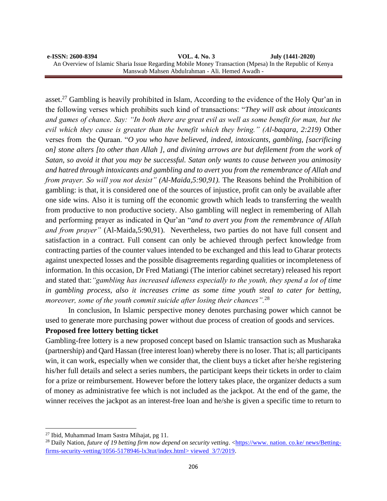#### **e-ISSN: 2600-8394 VOL. 4. No. 3 July (1441-2020)**  An Overview of Islamic Sharia Issue Regarding Mobile Money Transaction (Mpesa) In the Republic of Kenya Manswab Mahsen Abdulrahman - Ali. Hemed Awadh -

asset.<sup>27</sup> Gambling is heavily prohibited in Islam, According to the evidence of the Holy Qur'an in the following verses which prohibits such kind of transactions: "*They will ask about intoxicants and games of chance. Say: "In both there are great evil as well as some benefit for man, but the evil which they cause is greater than the benefit which they bring." (Al-baqara, 2:219)* Other verses from the Quraan. "*O you who have believed, indeed, intoxicants, gambling, [sacrificing on] stone alters [to other than Allah ], and divining arrows are but defilement from the work of Satan, so avoid it that you may be successful. Satan only wants to cause between you animosity and hatred through intoxicants and gambling and to avert you from the remembrance of Allah and from prayer. So will you not desist" (Al-Maida,5:90,91).* The Reasons behind the Prohibition of gambling: is that, it is considered one of the sources of injustice, profit can only be available after one side wins. Also it is turning off the economic growth which leads to transferring the wealth from productive to non productive society. Also gambling will neglect in remembering of Allah and performing prayer as indicated in Qur'an "*and to avert you from the remembrance of Allah and from prayer"* (Al-Maida,5:90,91). Nevertheless, two parties do not have full consent and satisfaction in a contract. Full consent can only be achieved through perfect knowledge from contracting parties of the counter values intended to be exchanged and this lead to Gharar protects against unexpected losses and the possible disagreements regarding qualities or incompleteness of information. In this occasion, Dr Fred Matiangi (The interior cabinet secretary) released his report and stated that:*"gambling has increased idleness especially to the youth, they spend a lot of time in gambling process, also it increases crime as some time youth steal to cater for betting, moreover, some of the youth commit suicide after losing their chances".*<sup>28</sup>

In conclusion, In Islamic perspective money denotes purchasing power which cannot be used to generate more purchasing power without due process of creation of goods and services.

# **Proposed free lottery betting ticket**

Gambling-free lottery is a new proposed concept based on Islamic transaction such as Musharaka (partnership) and Qard Hassan (free interest loan) whereby there is no loser. That is; all participants win, it can work, especially when we consider that, the client buys a ticket after he/she registering his/her full details and select a series numbers, the participant keeps their tickets in order to claim for a prize or reimbursement. However before the lottery takes place, the organizer deducts a sum of money as administrative fee which is not included as the jackpot. At the end of the game, the winner receives the jackpot as an interest-free loan and he/she is given a specific time to return to

<sup>27</sup> Ibid, Muhammad Imam Sastra Mihajat, pg 11.

<sup>&</sup>lt;sup>28</sup> Daily Nation, *future of 19 betting firm now depend on security vetting.* <https://www. nation. co.ke/ news/Bettingfirms-security-vetting/1056-5178946-lx3tut/index.html> viewed 3/7/2019.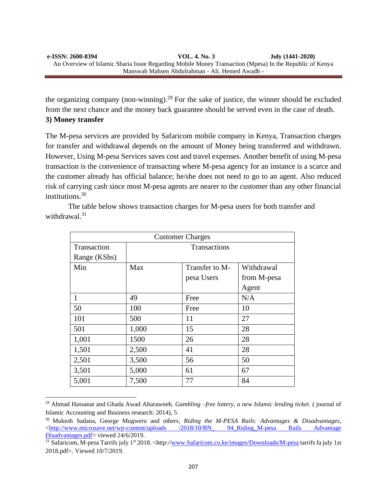the organizing company (non-winning).<sup>29</sup> For the sake of justice, the winner should be excluded from the next chance and the money back guarantee should be served even in the case of death. **3) Money transfer**

The M-pesa services are provided by Safaricom mobile company in Kenya, Transaction charges for transfer and withdrawal depends on the amount of Money being transferred and withdrawn. However, Using M-pesa Services saves cost and travel expenses. Another benefit of using M-pesa transaction is the convenience of transacting where M-pesa agency for an instance is a scarce and the customer already has official balance; he/she does not need to go to an agent. Also reduced risk of carrying cash since most M-pesa agents are nearer to the customer than any other financial institutions.<sup>30</sup>

The table below shows transaction charges for M-pesa users for both transfer and withdrawal.<sup>31</sup>

| <b>Customer Charges</b> |                     |                |             |
|-------------------------|---------------------|----------------|-------------|
| Transaction             | <b>Transactions</b> |                |             |
| Range (KShs)            |                     |                |             |
| Min                     | Max                 | Transfer to M- | Withdrawal  |
|                         |                     | pesa Users     | from M-pesa |
|                         |                     |                | Agent       |
| 1                       | 49                  | Free           | N/A         |
| 50                      | 100                 | Free           | 10          |
| 101                     | 500                 | 11             | 27          |
| 501                     | 1,000               | 15             | 28          |
| 1,001                   | 1500                | 26             | 28          |
| 1,501                   | 2,500               | 41             | 28          |
| 2,501                   | 3,500               | 56             | 50          |
| 3,501                   | 5,000               | 61             | 67          |
| 5,001                   | 7,500               | 77             | 84          |

<sup>29</sup> Ahmad Hassanat and Ghada Awad Altarawneh. *Gambling –free lottery, a new Islamic lending ticket*. ( journal of Islamic Accounting and Business research: 2014), 5

<sup>30</sup> Mukesh Sadana, George Mugweru and others*, Riding the M-PESA Rails: Advantages & Disadvantages*, <http://www.microsave.net/wp-content/uploads /2018/10/BN\_ 94\_Riding\_M-pesa Rails Advantage [Disadvantages.pdf>](http://www.microsave.net/wp-content/uploads%20/2018/10/BN_%2094_Riding_M-pesa%20Rails%20Advantage%20Disadvantages.pdf) viewed 24/6/2019.

 $\frac{31}{31}$  Safaricom, M-pesa Tarrifs july 1<sup>st</sup> 2018. <http:/[/www.Safaricom.co.ke/images/Downloads/M-pesa](http://www.safaricom.co.ke/images/Downloads/Mpesa) tarrifs fa july 1st 2018.pdf>. Viewed 10/7/2019.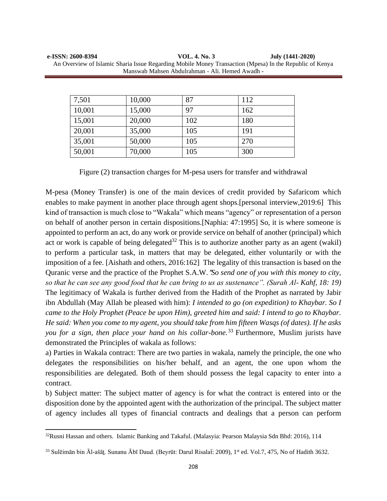| e-ISSN: 2600-8394 | VOL. 4. No. 3                                                                                           | July (1441-2020) |
|-------------------|---------------------------------------------------------------------------------------------------------|------------------|
|                   | An Overview of Islamic Sharia Issue Regarding Mobile Money Transaction (Mpesa) In the Republic of Kenya |                  |
|                   | Manswab Mahsen Abdulrahman - Ali. Hemed Awadh -                                                         |                  |

| 7,501  | 10,000 | 87  | 112 |
|--------|--------|-----|-----|
| 10,001 | 15,000 | 97  | 162 |
| 15,001 | 20,000 | 102 | 180 |
| 20,001 | 35,000 | 105 | 191 |
| 35,001 | 50,000 | 105 | 270 |
| 50,001 | 70,000 | 105 | 300 |

Figure (2) transaction charges for M-pesa users for transfer and withdrawal

M-pesa (Money Transfer) is one of the main devices of credit provided by Safaricom which enables to make payment in another place through agent shops.[personal interview,2019:6] This kind of transaction is much close to "Wakala" which means "agency" or representation of a person on behalf of another person in certain dispositions.[Naphia: 47:1995] So, it is where someone is appointed to perform an act, do any work or provide service on behalf of another (principal) which act or work is capable of being delegated<sup>32</sup> This is to authorize another party as an agent (wakil) to perform a particular task, in matters that may be delegated, either voluntarily or with the imposition of a fee. [Aishath and others, 2016:162] The legality of this transaction is based on the Quranic verse and the practice of the Prophet S.A.W."*So send one of you with this money to city, so that he can see any good food that he can bring to us as sustenance". (Surah Al- Kahf, 18: 19)*  The legitimacy of Wakala is further derived from the Hadith of the Prophet as narrated by Jabir ibn Abdullah (May Allah be pleased with him): *I intended to go (on expedition) to Khaybar. So I came to the Holy Prophet (Peace be upon Him), greeted him and said: I intend to go to Khaybar. He said: When you come to my agent, you should take from him fifteen Wasqs (of dates). If he asks you for a sign, then place your hand on his collar-bone.*<sup>33</sup> Furthermore, Muslim jurists have demonstrated the Principles of wakala as follows:

a) Parties in Wakala contract: There are two parties in wakala, namely the principle, the one who delegates the responsibilities on his/her behalf, and an agent, the one upon whom the responsibilities are delegated. Both of them should possess the legal capacity to enter into a contract.

b) Subject matter: The subject matter of agency is for what the contract is entered into or the disposition done by the appointed agent with the authorization of the principal. The subject matter of agency includes all types of financial contracts and dealings that a person can perform

<sup>32</sup>Rusni Hassan and others. Islamic Banking and Takaful. (Malasyia: Pearson Malaysia Sdn Bhd: 2016), 114

<sup>33</sup> Sulēimān bin Āl-ašāt. Sunanu Ābī Daud. (Beyrūt: Darul Risalat: 2009), 1<sup>st</sup> ed. Vol.7, 475, No of Hadith 3632.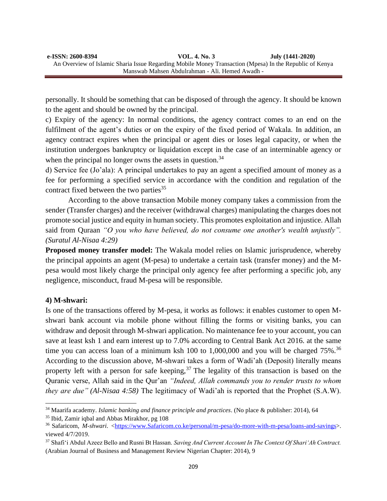personally. It should be something that can be disposed of through the agency. It should be known to the agent and should be owned by the principal.

c) Expiry of the agency: In normal conditions, the agency contract comes to an end on the fulfilment of the agent's duties or on the expiry of the fixed period of Wakala. In addition, an agency contract expires when the principal or agent dies or loses legal capacity, or when the institution undergoes bankruptcy or liquidation except in the case of an interminable agency or when the principal no longer owns the assets in question.<sup>34</sup>

d) Service fee (Jo'ala): A principal undertakes to pay an agent a specified amount of money as a fee for performing a specified service in accordance with the condition and regulation of the contract fixed between the two parties  $35$ 

According to the above transaction Mobile money company takes a commission from the sender (Transfer charges) and the receiver (withdrawal charges) manipulating the charges does not promote social justice and equity in human society. This promotes exploitation and injustice. Allah said from Quraan *"O you who have believed, do not consume one another's wealth unjustly". (Suratul Al-Nisaa 4:29)*

**Proposed money transfer model:** The Wakala model relies on Islamic jurisprudence, whereby the principal appoints an agent (M-pesa) to undertake a certain task (transfer money) and the Mpesa would most likely charge the principal only agency fee after performing a specific job, any negligence, misconduct, fraud M-pesa will be responsible.

# **4) M-shwari:**

Is one of the transactions offered by M-pesa, it works as follows: it enables customer to open Mshwari bank account via mobile phone without filling the forms or visiting banks, you can withdraw and deposit through M-shwari application. No maintenance fee to your account, you can save at least ksh 1 and earn interest up to 7.0% according to Central Bank Act 2016. at the same time you can access loan of a minimum ksh 100 to 1,000,000 and you will be charged  $75\%$ .<sup>36</sup> According to the discussion above, M-shwari takes a form of Wadi'ah (Deposit) literally means property left with a person for safe keeping,  $37$  The legality of this transaction is based on the Quranic verse, Allah said in the Qur'an *"Indeed, Allah commands you to render trusts to whom they are due" (Al-Nisaa 4:58)* The legitimacy of Wadi'ah is reported that the Prophet (S.A.W).

<sup>34</sup> Maarifa academy. *Islamic banking and finance principle and practices*. (No place & publisher: 2014), 64

<sup>35</sup> Ibid, Zamir iqbal and Abbas Mirakhor, pg 108

<sup>&</sup>lt;sup>36</sup> Safaricom, *M-shwari.* [<https://www.Safaricom.co.ke/personal/m-pesa/do-more-with-m-pesa/loans-and-savings>](https://www.safaricom.co.ke/personal/m-pesa/do-more-with-m-pesa/loans-and-savings). viewed 4/7/2019.

<sup>37</sup> Shafi'i Abdul Azeez Bello and Rusni Bt Hassan. *Saving And Current Account In The Context Of Shari'Ah Contract.* (Arabian Journal of Business and Management Review Nigerian Chapter: 2014), 9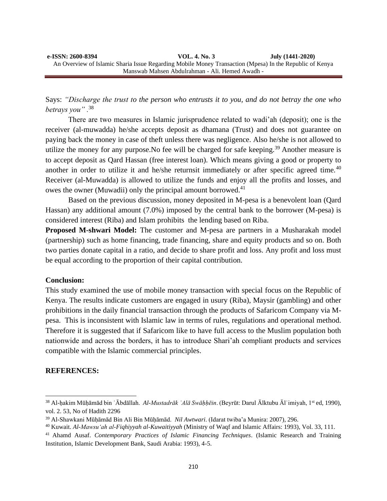Says: *"Discharge the trust to the person who entrusts it to you, and do not betray the one who betrays you" .*<sup>38</sup>

There are two measures in Islamic jurisprudence related to wadi'ah (deposit); one is the receiver (al-muwadda) he/she accepts deposit as dhamana (Trust) and does not guarantee on paying back the money in case of theft unless there was negligence. Also he/she is not allowed to utilize the money for any purpose. No fee will be charged for safe keeping.<sup>39</sup> Another measure is to accept deposit as Qard Hassan (free interest loan). Which means giving a good or property to another in order to utilize it and he/she returnsit immediately or after specific agreed time.<sup>40</sup> Receiver (al-Muwadda) is allowed to utilize the funds and enjoy all the profits and losses, and owes the owner (Muwadii) only the principal amount borrowed.<sup>41</sup>

Based on the previous discussion, money deposited in M-pesa is a benevolent loan (Qard Hassan) any additional amount (7.0%) imposed by the central bank to the borrower (M-pesa) is considered interest (Riba) and Islam prohibits the lending based on Riba.

**Proposed M-shwari Model:** The customer and M-pesa are partners in a Musharakah model (partnership) such as home financing, trade financing, share and equity products and so on. Both two parties donate capital in a ratio, and decide to share profit and loss. Any profit and loss must be equal according to the proportion of their capital contribution.

### **Conclusion:**

This study examined the use of mobile money transaction with special focus on the Republic of Kenya. The results indicate customers are engaged in usury (Riba), Maysir (gambling) and other prohibitions in the daily financial transaction through the products of Safaricom Company via Mpesa. This is inconsistent with Islamic law in terms of rules, regulations and operational method. Therefore it is suggested that if Safaricom like to have full access to the Muslim population both nationwide and across the borders, it has to introduce Shari'ah compliant products and services compatible with the Islamic commercial principles.

### **REFERENCES:**

<sup>38</sup> Al-ḥakim Mūḥāmād bin ʿĀbdāllah. *Al-Mustadrāk ʿAlā Swāḥḥēin*. (Beyrūt: Darul Ālktubu Ālʿimiyah, 1st ed, 1990), vol. 2. 53, No of Hadith 2296

<sup>39</sup> Al-Shawkani Mūḥāmād Bin Ali Bin Mūḥāmād. *Nil Awtwari*. (Idarat twiba'a Munira: 2007), 296.

<sup>40</sup> Kuwait. *Al-Mawsu'ah al-Fiqhiyyah al-Kuwaitiyyah* (Ministry of Waqf and Islamic Affairs: 1993), Vol. 33, 111.

<sup>41</sup> Ahamd Ausaf. *Contemporary Practices of Islamic Financing Techniques*. (Islamic Research and Training Institution, Islamic Development Bank, Saudi Arabia: 1993), 4-5.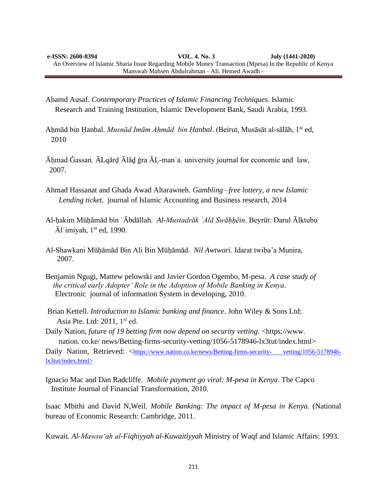Ahamd Ausaf. *Contemporary Practices of Islamic Financing Techniques*. Islamic Research and Training Institution, Islamic Development Bank, Saudi Arabia, 1993.

- Aḥmād bin Ḥanbal. *Musnād Imām Aḥmād bin Ḥanbal*. (Beirut, Musāsāt al-sālāh, 1st ed, 2010
- Āḥmad Ǧassan. ĀLqārḍ Ālāḏ ǧra ĀL-manʿa. university journal for economic and law, 2007.
- Ahmad Hassanat and Ghada Awad Altarawneh. *Gambling –free lottery, a new Islamic Lending ticket*. journal of Islamic Accounting and Business research, 2014
- Al-ḥakim Mūḥāmād bin ʿĀbdāllah. *Al-Mustadrāk ʿAlā Swāḥḥēin*. Beyrūt: Darul Ālktubu  $\bar{A}$ l'imiyah, 1<sup>st</sup> ed, 1990.
- Al-Shawkani Mūḥāmād Bin Ali Bin Mūḥāmād. *Nil Awtwari*. Idarat twiba'a Munira, 2007.
- Benjamin Ngugi, Mattew pelowski and Javier Gordon Ogembo, M-pesa. *A case study of the critical early Adopter' Role in the Adoption of Mobile Banking in Kenya*. Electronic journal of information System in developing, 2010.
- Brian Kettell. *Introduction to Islamic banking and finance*. John Wiley & Sons Ltd: Asia Pte. Ltd: 2011, 1<sup>st</sup> ed.
- Daily Nation, *future of 19 betting firm now depend on security vetting*. <https://www. nation. co.ke/ news/Betting-firms-security-vetting/1056-5178946-lx3tut/index.html>

Daily Nation, Retrieved: <https://www.nation.co.ke/news/Betting-firms-security-vetting/1056-5178946[lx3tut/index.html>](https://www.nation.co.ke/news/Betting-firms-security-%20%20%20vetting/1056-5178946-lx3tut/index.html%3e) 

Ignacio Mac and Dan Radcliffe. *Mobile payment go viral: M-pesa in Kenya*. The Capco Institute Journal of Financial Transformation, 2010.

Isaac Mbithi and David N,Weil. *Mobile Banking: The impact of M-pesa in Kenya*. (National bureau of Economic Research: Cambridge, 2011.

Kuwait. *Al-Mawsu'ah al-Fiqhiyyah al-Kuwaitiyyah* Ministry of Waqf and Islamic Affairs: 1993.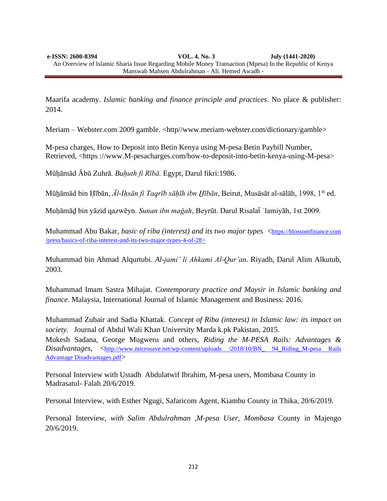Maarifa academy. *Islamic banking and finance principle and practices*. No place & publisher: 2014.

Meriam – Webster.com 2009 gamble. <http//www.meriam-webster.com/dictionary/gamble>

M-pesa charges, How to Deposit into Betin Kenya using M-pesa Betin Paybill Number, Retrieved, [<https ://www.M-pesacharges.com/how-to-deposit-into-betin-kenya-using-M-pesa>](https://www.mpesacharges.com/how-to-deposit-into-betin-kenya-using-mpesa/seen%2014/7/2019) 

Mūḥāmād Ābū Zuhrā. *Buḥuth fi Rībā.* Egypt, Darul fikri:1986.

Mūẖāmād bin Ḥībān, *Āl-Iḥsān fi Taqrīb sāḥīh ibn H̱ībān*, Beirut, Musāsāt al-sālāh, 1998, 1st ed.

Muḥāmāḏ bin yāzid qazwēyn. *Sunan ibn maǧah*, Beyrūt. Darul Risalaẗ ʿlamiyāh, 1st 2009.

Muhammad Abu Bakar, *basic of riba (interest) and its two major types* <https://blossomfinance.com /press/basics-of-riba-interest-and-its-two-major-types-4-of-28>

Muhammad bin Ahmad Alqurtubi. *Al-jami' li Ahkami Al-Qur'an*. Riyadh, Darul Alim Alkutub, 2003.

Muhammad Imam Sastra Mihajat. *Contemporary practice and Maysir in Islamic banking and finance*. Malaysia, International Journal of Islamic Management and Business: 2016.

Muhammad Zubair and Sadia Khattak. *Concept of Riba (interest) in Islamic law: its impact on society.* Journal of Abdul Wali Khan University Marda k.pk Pakistan, 2015. Mukesh Sadana, George Mugweru and others*, Riding the M-PESA Rails: Advantages & Disadvantages*, <[http://www.microsave.net/wp-content/uploads /2018/10/BN\\_ 94\\_Riding\\_M-pesa Rails](http://www.microsave.net/wp-content/uploads%20/2018/10/BN_%2094_Riding_M-pesa%20Rails%20Advantage%20Disadvantages.pdf)  [Advantage Disadvantages.pdf](http://www.microsave.net/wp-content/uploads%20/2018/10/BN_%2094_Riding_M-pesa%20Rails%20Advantage%20Disadvantages.pdf)>

Personal Interview with Ustadh Abdulatwif Ibrahim, M-pesa users, Mombasa County in Madrasatul- Falah 20/6/2019.

Personal Interview, with Esther Ngugi, Safaricom Agent, Kiambu County in Thika, 20/6/2019.

Personal Interview, *with Salim Abdulrahman ,M-pesa User, Mombasa* County in Majengo 20/6/2019.